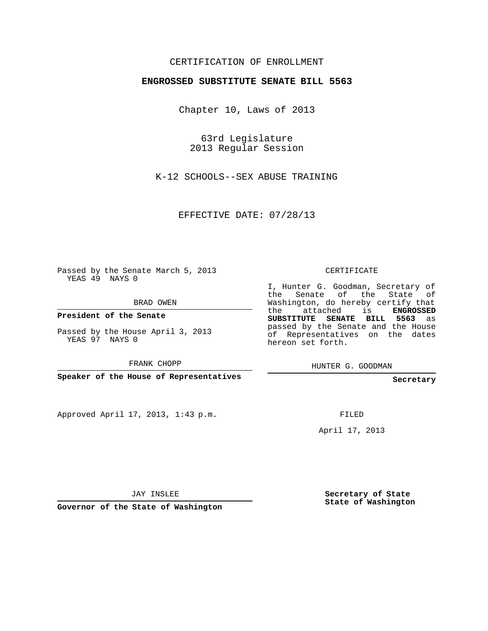## CERTIFICATION OF ENROLLMENT

## **ENGROSSED SUBSTITUTE SENATE BILL 5563**

Chapter 10, Laws of 2013

63rd Legislature 2013 Regular Session

K-12 SCHOOLS--SEX ABUSE TRAINING

EFFECTIVE DATE: 07/28/13

Passed by the Senate March 5, 2013 YEAS 49 NAYS 0

BRAD OWEN

**President of the Senate**

Passed by the House April 3, 2013 YEAS 97 NAYS 0

FRANK CHOPP

**Speaker of the House of Representatives**

Approved April 17, 2013, 1:43 p.m.

CERTIFICATE

I, Hunter G. Goodman, Secretary of the Senate of the State of Washington, do hereby certify that the attached is **ENGROSSED SUBSTITUTE SENATE BILL 5563** as passed by the Senate and the House of Representatives on the dates hereon set forth.

HUNTER G. GOODMAN

**Secretary**

FILED

April 17, 2013

JAY INSLEE

**Governor of the State of Washington**

**Secretary of State State of Washington**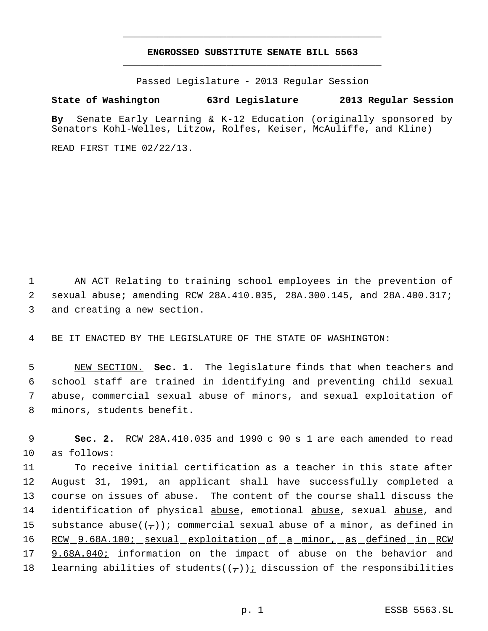## **ENGROSSED SUBSTITUTE SENATE BILL 5563** \_\_\_\_\_\_\_\_\_\_\_\_\_\_\_\_\_\_\_\_\_\_\_\_\_\_\_\_\_\_\_\_\_\_\_\_\_\_\_\_\_\_\_\_\_

\_\_\_\_\_\_\_\_\_\_\_\_\_\_\_\_\_\_\_\_\_\_\_\_\_\_\_\_\_\_\_\_\_\_\_\_\_\_\_\_\_\_\_\_\_

Passed Legislature - 2013 Regular Session

## **State of Washington 63rd Legislature 2013 Regular Session**

**By** Senate Early Learning & K-12 Education (originally sponsored by Senators Kohl-Welles, Litzow, Rolfes, Keiser, McAuliffe, and Kline)

READ FIRST TIME 02/22/13.

 1 AN ACT Relating to training school employees in the prevention of 2 sexual abuse; amending RCW 28A.410.035, 28A.300.145, and 28A.400.317; 3 and creating a new section.

4 BE IT ENACTED BY THE LEGISLATURE OF THE STATE OF WASHINGTON:

 NEW SECTION. **Sec. 1.** The legislature finds that when teachers and school staff are trained in identifying and preventing child sexual abuse, commercial sexual abuse of minors, and sexual exploitation of minors, students benefit.

 9 **Sec. 2.** RCW 28A.410.035 and 1990 c 90 s 1 are each amended to read 10 as follows:

11 To receive initial certification as a teacher in this state after 12 August 31, 1991, an applicant shall have successfully completed a 13 course on issues of abuse. The content of the course shall discuss the 14 identification of physical abuse, emotional abuse, sexual abuse, and 15 substance abuse( $(\tau)$ ); commercial sexual abuse of a minor, as defined in 16 RCW 9.68A.100; sexual exploitation of a minor, as defined in RCW 17 9.68A.040; information on the impact of abuse on the behavior and 18 learning abilities of students $((-))i$  discussion of the responsibilities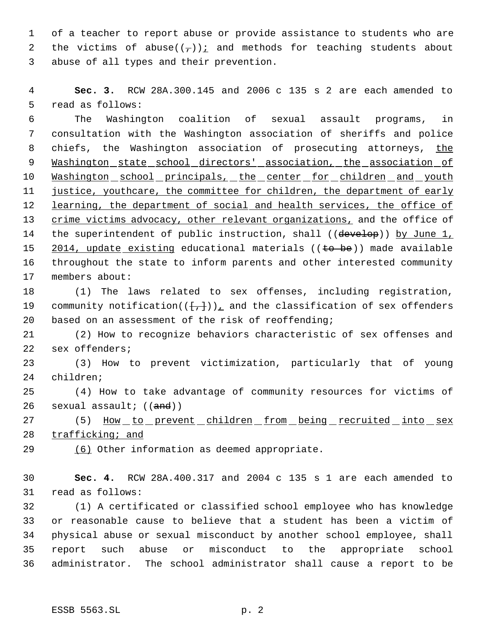of a teacher to report abuse or provide assistance to students who are 2 the victims of abuse( $(\tau)$ ) i and methods for teaching students about abuse of all types and their prevention.

 **Sec. 3.** RCW 28A.300.145 and 2006 c 135 s 2 are each amended to read as follows:

 The Washington coalition of sexual assault programs, in consultation with the Washington association of sheriffs and police 8 chiefs, the Washington association of prosecuting attorneys, the 9 Washington state school directors' association, the association of 10 Washington school principals, the center for children and youth 11 justice, youthcare, the committee for children, the department of early 12 learning, the department of social and health services, the office of crime victims advocacy, other relevant organizations, and the office of 14 the superintendent of public instruction, shall ((develop)) by June 1, 15 2014, update existing educational materials ((to be)) made available throughout the state to inform parents and other interested community members about:

 (1) The laws related to sex offenses, including registration, 19 community notification( $(\{\frac{1}{k},\frac{1}{k}})$ ), and the classification of sex offenders based on an assessment of the risk of reoffending;

 (2) How to recognize behaviors characteristic of sex offenses and sex offenders;

 (3) How to prevent victimization, particularly that of young children;

 (4) How to take advantage of community resources for victims of 26 sexual assault;  $((and))$ 

27 (5) How to prevent children from being recruited into sex trafficking; and

(6) Other information as deemed appropriate.

 **Sec. 4.** RCW 28A.400.317 and 2004 c 135 s 1 are each amended to read as follows:

 (1) A certificated or classified school employee who has knowledge or reasonable cause to believe that a student has been a victim of physical abuse or sexual misconduct by another school employee, shall report such abuse or misconduct to the appropriate school administrator. The school administrator shall cause a report to be